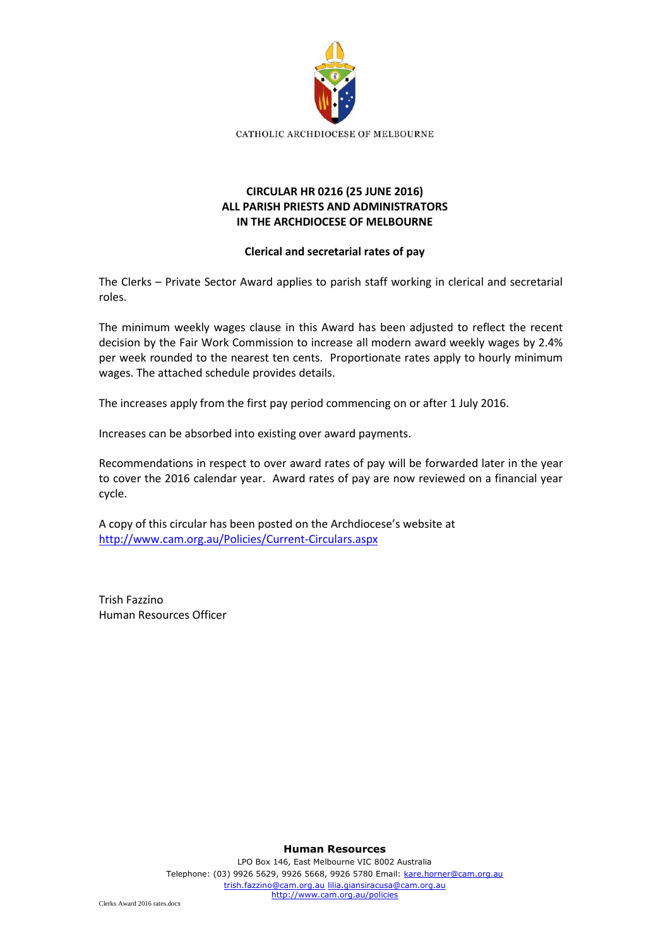

## **CIRCULAR HR 0216 (25 JUNE 2016) ALL PARISH PRIESTS AND ADMINISTRATORS IN THE ARCHDIOCESE OF MELBOURNE**

## **Clerical and secretarial rates of pay**

The Clerks – Private Sector Award applies to parish staff working in clerical and secretarial roles.

The minimum weekly wages clause in this Award has been adjusted to reflect the recent decision by the Fair Work Commission to increase all modern award weekly wages by 2.4% per week rounded to the nearest ten cents. Proportionate rates apply to hourly minimum wages. The attached schedule provides details.

The increases apply from the first pay period commencing on or after 1 July 2016.

Increases can be absorbed into existing over award payments.

Recommendations in respect to over award rates of pay will be forwarded later in the year to cover the 2016 calendar year. Award rates of pay are now reviewed on a financial year cycle.

A copy of this circular has been posted on the Archdiocese's website at <http://www.cam.org.au/Policies/Current-Circulars.aspx>

Trish Fazzino Human Resources Officer

**Human Resources**